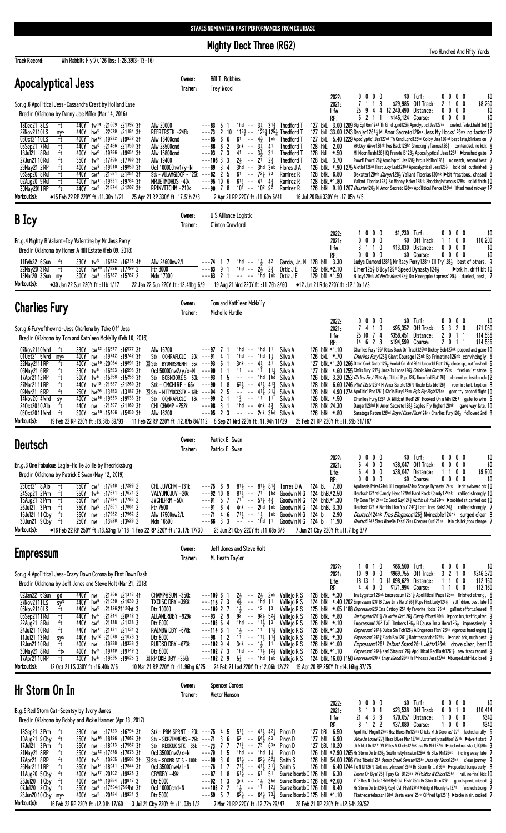**Mighty Deck Three (RG2)** 

Two Hundred And Fifty Yards **Track Record:** Win Rabbits Fly(7), 126 lbs; 1:28.39(3-13-16) **Bill T. Robbins** Owner: Apocalyptical Jess Trainer: Trey Wood  $\begin{array}{c} \text{\$0}\\ \text{\$29,985} \end{array}$ Turf:<br>Off Track:  $\begin{matrix} 0 & 0 \\ 1 & 0 \end{matrix}$  $$8,260$  $\begin{smallmatrix} 0\\ 1 \end{smallmatrix}$  $\begin{smallmatrix} 0\\ 1 \end{smallmatrix}$  $\begin{smallmatrix} 0\\2 \end{smallmatrix}$  $\begin{smallmatrix} 0\\ 0 \end{smallmatrix}$ 2022:  $\begin{smallmatrix}0\\7\end{smallmatrix}$  $\mathbf 0$ Sor.g.6 Apollitical Jess-Cassandra Crest by Holland Ease  $2021:$ 3  $\begin{array}{c} 4 \\ 1 \end{array}$  $\overline{9}$  $\frac{4}{1}$ Life: 25 \$2,240,490 Distance:  $\pmb{0}$  $\pmb{0}$  $\pmb{0}$  $\mathbf{0}$ \$0 Bred in Oklahoma by Danny Joe Miller (Mar 14, 2016)  $\overline{\phantom{a}}$  $$0$ RP.  $6\overline{6}$ \$145,124 Course:  $\mathbf{0}$  $0\quad 0\quad 0$  $tw<sup>14</sup>$  $:21^{397}31$ <br> $:21^{184}31$ Alw 20000<br>REFRTRSTK -248k  $3.00$  1209 Big Eg1 Gon1241 Th Grnd Lgnd126 $_{4}^{2}$  Apoclypticl Jss127nk 127 bkL 18Dec21 8LS :21669 -83  $3\frac{1}{2}$   $31\frac{3}{4}$ <br> $125\frac{1}{4}$   $125\frac{1}{4}$ Thedford T du ld 3rd 10 5<br>2<br>6<br>6<br>7  $:22079$  $440Y$  hw<sup>5</sup>  $---73$  $10$  $113\frac{1}{2}$  --127 bkl 33.00 1243 Danjer12611 Mi Amor Secreto126nk Jess My Hocks126ns no factor 12 27Nov2110LS Thedford T  $hw^{12}$ 5.00 F=10 Data of The Thinley Concert Control Control of the SAD Procession of the SAD Process 2.00 *Midday News128nk* Hes Back128hd Shockingly famous128<sub>4</sub> contended, no kick<br>2.00 *Midday News128nk* Hes Back128hd Shocki 080ct2110LS<br>05Sep21 7 Rui<br>18Jul21 8 Rui  $:19932$  $:19932$  31 Alw 18400cnd  $6<sup>1</sup>$  $\frac{4\frac{3}{4}}{3\frac{1}{2}}$ 127 bkL  $62$ <br> $3$ <br> $3$ <br> $4$ **Thedford T** 400Y -85 1nk  $\ddot{\phantom{a}}$  $\frac{1}{4}$ 1 Thedford T **AANY**  $CW^6$  $:21486$  $.21350.31$ Alw 28500cnd  $--88$  $3nk$ 128 hkl  $\overline{f}$  $hw<sup>6</sup>$  $:19786$  $:19654$  31  $\ddot{\phantom{1}}$  $--93$  $\overline{41}$  $3\frac{1}{2}$   $31$ <br>  $21$   $2\frac{3}{4}$ <br>  $3$ hd  $3$ nk ft 400Y Alw 15800cnd Thedford T 128 hkL  $\frac{21}{3}$ <sub>nd</sub>  $\frac{1}{16}$ 126 bKL 3.70 Powrfl Fvort128§ Apoclypticl Jss128§ Mrcus Mdllon128½ no match, second best 126 bfkL \*.90 1275 Alotlot126<sup>a</sup> Krst Lucy Lark124<sup>hd</sup> Apocalyptical Jess126§ bold bid, outfinished  $\frac{3}{3}$ 27Jun21 10 Rui ft 350Y  $tw^9$  $:17265$  $:1716031$ Alw 19400  $---106$ **Thedford T** <u>:19910</u> bold bid, outfinished Ocl 100000nw1/y-N Flores J A 29May21 2RP 400Y  $c<sub>W</sub>$  $.19$ -89 g fi  $:21^{251}$  31 :21681 Stk - ALLAMGLDCP - 1  $\frac{5}{6}$  $72\frac{1}{4}$ <br>41 Dexxter 129nk Danjer1283 Valiant Tiberias 130nk bit fractious, chased 8<br>Valiant Tiberias 1283 Sc Money Maker128nk Shockingly famous 128hd solid finish 10 06Sep20 8 Rui  $\overline{c}$  $61$  $\ddot{\phantom{a}}$  $7<sup>3</sup>$ 440Y - 125k  $\overline{a}$  $-82$ Ramirez R 128 bfkL 6.80 СW  $-$  hw<sup>11</sup> :19931  $:19784$  31  $\frac{10}{7}$  $61\frac{1}{4}$ <br>10<sup>1</sup>  $\begin{array}{cc} 41 & 43 \\ 102 & 92 \end{array}$  $\mathbb{Z}^2$  $--95$ Ramirez R 128 hfkl \*1.80 9 NCniiA **440Y**  $:21^{207}31$ 1ay 2011 RI  $cw<sup>9</sup>$  $:21574$ RPINVITCHM - 210k  $\check{\mathbf{8}}$  $\sim$ 126 bfkl. 9.10 1207 Dexxter126} Mi Amor Secreto128ns Apollitical Pence126hd lifted head midway 12 -90 Ramirez R Workout(s): 2 Apr 21 RP 220Y ft:11.60h 6/41 ●15 Feb 22 RP 220Y ft:11.30h 1/21 25 Apr 21 RP 330Y ft: 17.51h 2/3 16 Jul 20 Rui 330Y ft: 17.05h 4/5 Owner: U S Alliance Logistic B Icy Trainer: **Clinton Crawford** \$1,230 Turf:  $2022:$  $\mathbf{0}$  $\pmb{0}$  $\mathbf{0}$  $\mathbf{0}$  $\mathbf{0}$  $\mathbf{0}$  $\mathbf{0}$ \$0 2021:<br>2021:<br>Life:  $\begin{array}{cccc} 0 & 0 & 0 \\ 1 & 1 & 0 \end{array}$  $\begin{matrix}0\0\0\end{matrix}$  $\begin{smallmatrix}0\3\end{smallmatrix}$  $\begin{smallmatrix} 0\\ 0 \end{smallmatrix}$ Br.g.4 Mighty B Valiant-Icy Valentine by Mr Jess Perry \$0 Off Track:  $\begin{smallmatrix}1\0\end{smallmatrix}$ \$10,200  $\begin{smallmatrix}1\0\end{smallmatrix}$  $$13.030$  Distance:  $$0$ Bred in Oklahoma by Homer A Hill Estate (Feb 09, 2018)  $RP: 3.30$  $\mathbf{0}$  $\begin{matrix} 0 & 0 & 0 \end{matrix}$ \$0 Course  $\mathbf{0}$  $0<sub>0</sub>$  $$0$  $\mathbf{0}$ Alw 24600nw2/L<br>Ftr 8000 :16522 :16215 41 Ladys Diamond 1281 Hr Racy Perry 128nk III Try 1281 best of others. 11Feb22 6 Sun<br>22May 20 3 Rui  $---74$  $\frac{1\frac{1}{2}}{2\frac{1}{2}}$ 128 hfl  $\overline{1}$  $\overline{7}$ 1hd  $4<sup>2</sup>$ Garcia Jr. N 9 tw<sup>3</sup>  $\frac{1}{2}$  hw<sup>10</sup> : 17896  $\frac{1}{2}$  50  $\frac{1}{2}$  $\frac{115}{17799}$  $--\frac{1}{83}$ ġ  $\mathbf{i}$  $\mathsf{ind}$  $\mathbb{Z}^2$  $2\frac{3}{4}$  $0$ rtiz  $JE$ 129 bfkL\*2.10 Elmer125 $\frac{3}{4}$  B Icy1291 Speed Dynasty124 $\frac{1}{2}$  $\triangleright$ brk in, drift bit 10 300Y cw<sup>8</sup> :15787 :15787 2  $--63$  $1<sup>th</sup>$ d  $1<sup>th</sup>$ k  $2<sub>1</sub>$  $\sim$ 13Mar20 3 Sun Mdn 17000  $\sim$   $\sim$ Ortiz J E 129 bfL \*1.50 B Icy129nk Mi Bella Besol283 Dm Pineapple Express1293 dueled, best, 7 my 19 Aug 21 Wrd 220Y ft : 11.76h 8/60 Workout(s): •30 Jan 22 Sun 220Y ft: 11b 1/17 22 Jan 22 Sun 220Y ft:12.41bg 6/9 •12 Jun 21 Rde 220Y ft: 12.10b 1/3 Tom and Kathleen McNally Owner: **Charlies Fury** Trainer: Michelle Hurdle 2022:<br>2021:  $\begin{matrix} 0 & 0 \\ 1 & 0 \end{matrix}$  $\begin{smallmatrix}0\3\end{smallmatrix}$  $\begin{smallmatrix} 0\\7 \end{smallmatrix}$  $\begin{smallmatrix}0\\4\end{smallmatrix}$  $\begin{smallmatrix}0\5\end{smallmatrix}$  $\begin{smallmatrix} 0\\2 \end{smallmatrix}$  $\begin{smallmatrix} 0\\ 0 \end{smallmatrix}$ \$O Turf:  $$95,352$ Off Track: Sor.g.6 Furyofthewind-Jess Charlena by Take Off Jess \$71.050 Life:  $\frac{25}{14}$  10  $\begin{array}{ccc} 7 & 4 \\ 2 & 3 \end{array}$ \$358,451 Distance<br>\$194,599 Course: Distance:  $\frac{2}{2}$  $\begin{bmatrix} 0 \\ 0 \end{bmatrix}$  $\begin{array}{c} 1 \\ 1 \\ 1 \end{array}$  $$14,536$ <br> $$14,536$  $\mathbf 1$ Bred in Oklahoma by Tom and Kathleen McNally (Feb 10, 2016)  $RP:$ 330Y cw<sup>12</sup>:16577 Charlies Fury 1261 Ritas Back On Track126hd Dickey Bob127nk popped and gone 10  $:16577.3$ 126 bfkL\*1.10 07Nov2110 Wrd  $\overline{f}$ Alw 16700 -97  $\overline{1}$ 1hd 1hd  $11$ Silva A 127 bfkl. \*. 70 Charlies Fury 1274 Gant Courage 126th Bp Primetime 126th convincingly 6<br>127 bfkl. \*. 70 1266 0tmn Crek Sntor 1264 Giant Courage 126th Bp Primetime 126th convincingly 6<br>127 bfkl. \*. 60 1255 Chris Fury 12714  $:19742$  31 010ct21 5 Wrd<br>22May2111 RP 400Y<br>400Y  $:19742$  $\begin{array}{c} 4 \\ 6 \end{array}$  $\frac{1}{1}$ 1hd  $\sim$   $\sim$ Stk - OQHRAFLCLC - 20k  $---91$ 1hd  $\frac{1}{2}$ <br>4<sup>1</sup> Silva A mys  $\mathsf{nw}$  $CW^{10}$  $:19891$ <br>:19891<br>:16593<br>31  $\frac{- - 93}{- - 90}$  $\frac{1}{2}$ BYDMRSMEMH - 85k  $rac{1}{3}$ nk :20064  $S$  Stk  $4\frac{1}{2}$ <br>11 Silva A f  $.5593$  $11\frac{1}{4}$  $tw^5$  $\overline{1}$  $11$ 06May21 6 RP  $ft$ 330Y Ocl 50000nw2/v/x-N  $\overline{1}$ Silva A  $:15^{258}31$ 17Apr21 12 RP 300Y  $tw^5$  $:15258$ Stk - BOBMOORE S - 50k -93  $\begin{array}{c} 5 \\ 8 \\ 5 \end{array}$  $\ddotsc$  $1<sub>hd</sub>$ 1<sub>hd</sub> 126 bfkl. 3.20 1253 Chriles Fury126hd Apollitical Papa1291 Uncurled Fist1261 determined inside rush 12 Silva A ft -1 tw<sup>o</sup>:1550<br>tw<sup>12</sup>:21587<br>hw<sup>26</sup>:13453 27Mar21 11 RP  $\frac{1}{2}$  $41\frac{1}{4}$   $41\frac{3}{4}$ <br> $41\frac{7}{4}$   $21\frac{1}{2}$ 128 bfkl. 6.60 1246 *Vint Tibris* 126<sup>hd</sup> Mi Amor Screto 126<sup>1</sup> Uncle Eds Ide126<sup>3</sup> veer in start, kept on 8<br>128 bfkl. 4.90 1274 Apollitici Pnc126<sup>1</sup> 2 Chrils Fury 128<sup>ns</sup> *Egls Fly Highr*126<sup>nk</sup> good try, second flight 10 ft **AANY**  $.21260.31$  $Stk - CMCHIRP - f6k$  $\sim$   $\sim$ -90  $6^{2}\frac{1}{2}$  $\sim$ Silva A 09Mar21 6 RP  $:13187$  31  $\ddot{\phantom{a}}$ -94  $\ddot{\phantom{a}}$ Silva A S Stk - MITYDCKSTK - 68k ft 250Y  $cw^{16}:19533$  $S$ tk - $\begin{array}{c} 1\frac{3}{4} \\ 1\,\text{hd} \end{array}$ Charlies Fury 1261 Jk Wildcat Red1261 Hooked On a Win1261 gate to wire 6<br>Danjer 128hd Mi Amor Secreto 1281 Eagles Fly Higher 128nk gave way late. 10<br>Saratoga Return 126hd *Royal Cash Flash* 124ns Charlies Fury 1261 followe  $\frac{2}{3}$ 14Nov20 4 Wrd 400Y  $:19533$  3<sup>†</sup> OQHRAFLCLC - 18k  $--99$  $\overline{\mathbf{1}}$  $\sim$  $11$  $11$ Silva A 126 bfkl \*.50 sy<br>ft  $:21307$  $:211603$  $4\frac{3}{4}$ 240ct2010 Alb 440Y nw :21<sup>307</sup><br>CW<sup>10</sup> :15<sup>466</sup> **CHL CHAMP**  $4nk$ 128 bfkL 24.30  $-252k$  $\begin{array}{c} 1 \\ 3 \end{array}$ -98 Silva A  $\frac{1}{2}$ Silva A 030ct2011 Wrd  $\ddot{f}$ 300Y  $-15450$  31 Alw 16200  $--05$  $\mathbf{L}$  $2nk$   $3hd$ 126 hfkl \* 80  $\sim$ Workout(s): 19 Feb 22 RP 220Y ft: 13.38b 89/93 11 Feb 22 RP 220Y ft: 12.87b 84/112 8 Sep 21 Wrd 220Y ft: 11.94h 11/29 25 Feb 21 RP 220Y ft: 11.69b 31/167 Owner: Patrick F. Swan **Deutsch** Patrick E. Swan Trainer:  $\begin{array}{cccc} 0 & 0 & 0 & 0 \\ 6 & 4 & 0 & 0 \\ 6 & 4 & 0 & 0 \\ 0 & 0 & 0 & 0 \end{array}$  $$0$ <br>\$38,047  $\begin{smallmatrix}0&0\\0&0\end{smallmatrix}$ \$0<br>\$0 Turf:  $\pmb{0}$ 2022:  $\mathbf{0}$ Br.g.3 One Fabulous Eagle-Hollie Jollie by Fredricksburg  $2021:$ Off Track:  $\mathbf{0}$ Life: \$38,047 Distance:  $\pmb{0}$  $\pmb{0}$ \$9,900 Bred in Oklahoma by Patrick E Swan (May 12, 2019)  $RP:$ \$0 Course:  $0\quad 0\quad 0\quad 0$ \$0  $:17298$  2  $7.80$ 230ct21 8 Alb 350Y  $:17548$ CHL JUVCHM -131k  $-75$  $81\overline{2}$ <br> $81\overline{2}$ <br> $71\overline{2}$ 124 bl Apolinaria Prize124nk Lil Longmire124ns Scoops Dynasty124hd bit awkward brk 10 f  $6\phantom{.}6$ Torres D A **CW**  $98746$ 24Sep21 2 Prm<br>15Aug21 3 Prm  $\mathbf{L}$ 350Y  $tw^5$  $:17671$  $-176712$ VAI Y.INC.IIIV - 20k  $--92$  $\begin{array}{c}\n10 \\
5 \\
6 \\
4\n\end{array}$ Goodwin N G 124 hhRI\*2 50 Deutsch124hd Candy Hero124hd Hard Rock Candy124nk rallied strongly 10  $h\bar{w}^5$  $:17894$  $:17783$  2 JVCHLPRM -50k ÷, 350Y  $---91$ 124 bhBL\*1.30 Goodwin N G Fly Donn Fly124ns Iz Good Guy1243 Nothin Lik You124ns >bobbled st, carried out 10 ft  $3<sup>5</sup>$  Prm 26Jul21  $.17861$  $\frac{1}{10}$ 124 bhBL 3.30<br>124 b 2.90 Deutsch124nk Nothin Like You1242<sub>4</sub> Last Tres Seis124<sub>2</sub> rallied strongly<br>Deutsch124nk Nothin Like You1242<sub>4</sub> Last Tres Seis124<sub>2</sub> rallied strongly  $--91$ <br>---71 Goodwin N G f 350Y  $hw<sup>5</sup>$  $.178612$ Ftr 7500 4nk  $71\frac{1}{2}$  $:17962$ 15.lul21 11 Cbv  $.17962$  2 ft 350Y nw Goodwin N G 30Jun21 9 Cby  $:13528$  $:13528$  2 Mdn 16500  $\overline{3}$  $\overline{3}$  $\overline{a}$  $124 b$ 11.90 Deutsch1241 Shes Wheelie Fast127ns Chequer Out126nk Pin cls brk, took charge ft 250Y  $\overline{a}$ -66 Goodwin N G nw  $Workout(s)$ •16 Feb 22 RP 250Y ft : 13.53hg 1/118 1 Feb 22 RP 220Y ft : 13.17b 17/30 23 Jun 21 Cby 220Y ft: 11.68b 3/6 7 Jun 21 Cby 220Y ft : 11.71bg 3/7  $0$ wner · Jeff Jones and Steve Holt **Empressum** Trainer: M. Heath Taylor  $2022:$  $\pmb{0}$  $\mathbf{1}$  $\mathbf{0}$ \$66,500 Turf:  $\mathbf{0}$  $\pmb{0}$  $\pmb{0}$  $\pmb{0}$  $10 \quad 9$  $\begin{matrix} 0 & 0 \\ 1 & 0 \end{matrix}$  $\begin{array}{cc} 2 & 1 & 0 \\ 1 & 0 & 0 \\ 1 & 0 & 0 \end{array}$ \$246,370 Sor.g.4 Apollitical Jess-Crazy Down Corona by First Down Dash  $2021:$ \$969 755 Off Track  $\overline{3}$  $0$  \$1,098,629  $1813$ Distance: \$12,160 life:  $\mathbf{1}$ Bred in Oklahoma by Jeff Jones and Steve Holt (Mar 21, 2018) RP: 4 4 0 0 \$171,994 Course:  $\mathbf{1}$ \$12,160 128 bfkL \*.30 Instygator128nk Empressum12813 Apollitical Papa128ns finished strong, 6 02Jan22 6 Sun **440Y**  $.21366$  $.21313$  4<sup>+</sup> CHAMP@SUN -350k  $---1096$ 21<br>1hd<br>12 Vallejo R S gd  $n<sub>w</sub>$  $\overline{1}$  $2<sub>3</sub>$ 2nk 440Y  $:21030$  $:210303$  $\frac{1}{11}$ 124 bfkL \*.40 1202 Empressum 1241 B Cuse Im a Herol 263 Pops First Lady 1243 stiff drive, best late 10<br>125 bfkL \*.40 1202 Empressum 1241 B Cuse Im a Herol 263 Pops First Lady 1243 stiff drive, best late 10  $--1157$  $\sim$ Vallejo R S 27Nov2111LS  $hw<sup>5</sup>$ TXCLSC DBY -393k  $4\frac{5}{4}$ <br> $1\frac{1}{2}$ <br> $92$  $\frac{3}{7}$ sy:<br>ft  $: 21126: 21126$ ht 3  $---109$  2<br>---93 2  $\ddot{\phantom{a}}$ 05Nov2110LS  $hw<sup>5</sup>$ Dtr 10000 Valleio R S  $\frac{1}{2}$  $:21244$  $\frac{1}{20912}$  3 ...<br>Allamerdby -929k ġ  $\ddot{\phantom{a}}$ Vallejo R S  $126$  $b$ fkl  $*$ .80 Instygator1261<sub>4</sub> Favorite Doc126<sub>4</sub> Candy Blood126<sup>nk</sup> Ppoor brk, traffic, alter 440Y 921  $5^{2}$ 22Aug21 8 Rui<br>24Jul21 10 Rui  $\frac{121}{138}$ <br>hw<sup>11</sup> :21<sup>138</sup>  $:21138$  $\frac{11}{2}$ <br>11 Vallejo R S<br>Vallejo R S 126 bfkL \*.10 Empressum1263 Tall Timbers126} B Cause Im a Hero126} impressively 9  $:211383$  $\begin{array}{c} 4 \\ 1 \end{array}$ 1hd  $1<sup>3</sup>$ ft 440Y Dtr 8000  $---1036$  $\sim$  $11^2$   $11^1$ <br> $11^2$   $11^3$ <br> $11^2$   $11^3$  $\frac{1}{2}$ 126 bfkL \*1.30<br>126 bfkL \*1.30  $\ddot{t}$ .....<br>440Y  $:211313$ RAINBW DBY -678k Empressum12613 Dulce Sin Tch1263 A Dngerous Flsh126hd vigorous hand urging 10  $-114$  $\boldsymbol{6}$  $\frac{11}{11}$ tw<sup>12</sup> :21078  $.21078$  3 sys<br>ft **440Y** 11.hd21 13 Rui Dtr 8000  $--98$  $\overline{1}$  $\overline{\phantom{a}}$ Valleio R S *Empressum*1261<sup>3</sup> Flash Bak12611 Badntessahabit126hd ▶brush brk. much best 9  $:19338$  $\ddot{\phantom{a}}$  $1\frac{1}{2}$   $11^4$ <br> $11\frac{1}{2}$   $12\frac{1}{2}$ <br> $1$ hd  $1$ nk  $\mathbf{i}$ 12Jun21 10 Rui 400Y  $:193383$ RUIDSO DBY -673k  $\overline{102}$  $\begin{array}{c} 4 \\ 3 \\ 9 \end{array}$  $\overline{3}$ nk Vallejo R S 126 bfkL\*1.00 Empressum1261 Valiant Stars126nk Jettz126nk drove clear, best 10 9 nw 126 bfkL \*1.10 *Empressum1262 karl Strauss1263 Apollitical Redflash12613* new track record 9<br>126 bfkL \*1.10 *Empressum12623 Karl Strauss1263 Apollitical Redflash12613* new track record 9  $\frac{tw^9}{tw^5}$ 30May21 8 Rui fts **ANOV**  $.19149$  $.191492$  $---1027$ 1hd  $\sim$ Valleio R S Dtr 8000  $:19625$ Vallejo R S 17Apr21 10 R  $:196253$ **SRP OKB DBY -356k**  $-1022$  $\ddot{\phantom{a}}$ 400Y  $\overline{a}$  $5\frac{3}{4}$ ft Workout(s): 12 Oct 21 LS 330Y ft: 16.40b 2/6 10 Mar 21 RP 220Y ft -11 96hg 6/25 24 Feb 21 Lad 220Y ft: 12.06b 12/22 15 Apr 20 RP 250Y ft: 14.16hg 37/75 Spencer Cordes Owner: Hr Storm On In Victor Hanson Trainer: 2022:<br>2021:  $\begin{smallmatrix}0\\1\end{smallmatrix}$  $0<sub>0</sub>$ \$0 Turf:  $0<sub>0</sub>$  $0\atop 6$ 0 0 \$0  $\pmb{0}$  $\overline{1}$ \$23.538 Off Track:  $\boldsymbol{6}$  $\pmb{0}$  $\mathbf{1}$  $\mathbf{0}$ \$10,414 B.g.5 Red Storm Cat-Scentsy by Ivory James Life:<br>RP:  $\begin{array}{c} 4 \\ 1 \end{array}$  $\frac{3}{2}$  $\frac{3}{2}$ Distance:  $21$ \$70.057  $\mathbf{1}$  $0<sub>0</sub>$  $\mathbf{0}$ \$340 Bred in Oklahoma by Bobby and Vickie Hammer (Apr 13, 2017)  $$37,080$ Course:  $0\quad 0\quad 0$ \$340 18Sep21 3 Prm<br>10Aug21 9 Cby  $.17123$  $.16794.31$ 127 bBL<br>127 bfL  $6.50$ <br> $6.90$ Stk - PRM SPRNT - 20k  $41\frac{1}{2}$ <br>64 $\frac{1}{2}$ **33UA**  $--75$  $\begin{array}{c} 4 \\ 3 \end{array}$  $\begin{array}{c} 5 \\ 6 \end{array}$ Apolliticl Mogul127nk Hez Blues Mn127ns Chicks With Coronas1272 lacked a rally 6 nw  $5^{11}$  $42\frac{1}{4}$ Pinon D  $hw^{16}$  : 18196  $:17662$  31  $6<sup>2</sup>$  $\ddot{\phantom{a}}$  $6<sup>3</sup>$ Stk - SKPZIMMEMS - 29k  $--71$ *.<br>Juice Is Loose*127½ Heza Blues Man127hd Justafamilytradition127nk ▶dwelt start 350Y Pinon D  $7^3$  63\*<br>
1hd 1<sup>1</sup>/<sub>2</sub><br>
1hd 1<sup>1</sup>/<sub>2</sub><br>
6<sup>2</sup>/<sub>4</sub><br>
4<sup>11</sup>/<sub>2</sub><br>
5<sup>1</sup>  $7^{13}_{4}$ <br>1hd 17Jul21 3 Prm<br>21May21 8 RP 350Y<br>350Y<br>350Y  $:17587$  31  $\begin{bmatrix} 1 \\ 1 \\ 2 \\ 3 \end{bmatrix}$ 127 bBL 10.20 Jk Widct Rd1271 Vf Pitcs N Chcks127nk Jss Mk Mrk127ns >ducked out start, DQ8th 126 bfL \*2.90 1265 Hr Storm On In126 & Southmstylmission126nk Hz Blue Mn126nk inching away late Stk - KEOKUK STK - 35k  $\frac{7}{1}$  $\overline{\phantom{a}}$  nw  $.18013$  $\mathbb{Z}^2$ -73 756783 Pinon D  $\frac{1}{2}$  CW 12  $:17878$  $:17878$ Ocl 35000nw2/x-N  $3<sup>t</sup>$ -79 Pinon D Findin 126 bfl. 54.00 1266 Vint Theris1261 *Janan Greek Senator126<sup>th 4</sup> Le usin* with the Unit Senator 2001 1266 Vint Theris1261 *Janan Greek Senator126th 4 Less My Hocks*126th <sup>2</sup> clear journey<br>Smith S 126 bfl. 6.40 124  $\frac{1}{1}$ 17Apr21 8RF **ANNY**  $tw<sup>5</sup>$  $.19905$  $-19503$  3<sup>+</sup>  $\sqrt{s}$  Stk - SOONR ST S - 100k  $--90$  $613$  $\frac{h w^{14}}{h}$  $:18041$  $:17844$  31  $\mathbb{Z}^2$ 26Mar2111RP<br>11Aug20 5 Cby<br>28Jul20 1 Cby 350Y 0cl 35000nw4/L-N -76  $71.1$ R **CBYDBY**  $61\frac{2}{3}$ <br>3nk Zoomn On Bye125} Tipsy Girl B125nk *Vf Politics N Chicks*125hd rail, no final kick 10<br>The Soomn On Bye125} Tipsy Girl B125nk *Vf Politics N Chicks*125hd rail, no final kick 10  $hw<sup>17</sup>$  $\frac{1}{1}$ 400  $.20102$  $19925$  3 -87  $\mathbb{Z}^2$  $\ddot{\phantom{a}}$  $\frac{5}{3}$ hd 400Y  $-w^{18}$  : 19854  $:198173$ -92 Dtr 5000  $\frac{11}{11}$ 

 $\frac{2}{7}$  $\frac{1}{6}$ <br> $\frac{1}{2}$ 

 $\overline{a}$  $103$  $\frac{2}{5}$ 

---59

 $1^2$ <br> $1^1$   $1^2$ <br> $6^4$   $7^3$ 

Suarez Ricardo I 126

Suarez Ricardo I 125 bfl \*1.10

bfL 8.40

28 Feb 21 RP 220Y ft : 12.64h 29/52

Hr Storm On In12621 Royl Csh Flsh127hd Midnight Moonlyte1271 finished strong

Tkinthecartelscash128nk Jesta Wave125hd Oilfired Up12514 > broke in air, ducked

 $\ddot{\phantom{a}}$ 

 $\mathbb{R}^2$ 

7 Mar 21 RP 220Y ft: 12.72h 29/47

ft

mys

2 Cby ft

07Jul20

Workout(s):

23.lun20 10 Chy

 $\frac{cw^6}{cw^5}$ 

350Y

400Y

16 Feb 22 RP 220Y ft:12.01h 17/60

:17504:17504ht 31

 $:20484$  : 19931 3

Ocl 10000cnd-N

3 Jul 21 Cby 220Y ft: 11.03b 1/2

Dtr 5000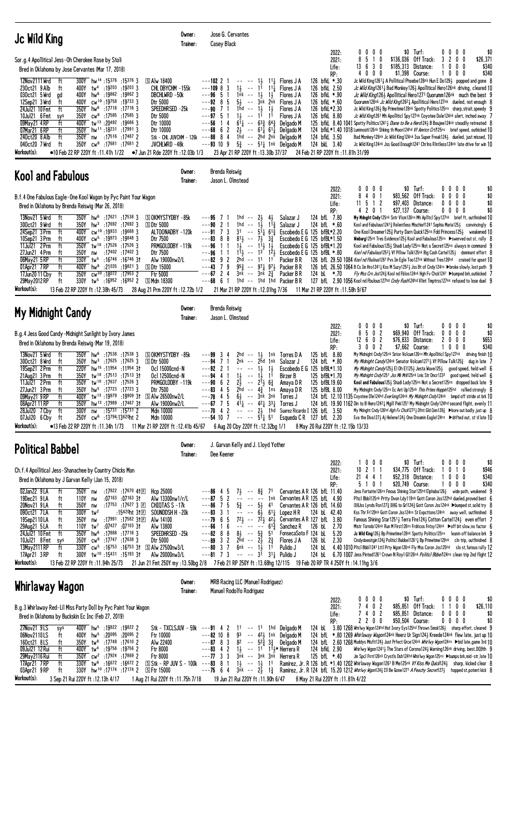| <b>Jc Wild King</b>                                                                                                                                                                                                                                                                                                                                                                                                                                                                                                                                                                                                                                                                                                                                                                                                                                                                                                                                                                   | Owner:<br>Trainer:                                                                                                                                                                                                         | Jose G. Cervantes<br><b>Casey Black</b>                                                                                                                                                                                                                                                                                                                                                                                                                                                                                                             |                                                                                                                                                                                                                                                               |                                                                                                                                                                                                                                                                         |                                                                                                                                     |                                                |                                                                                                                                                                                                                                                                                                                                                                                                                                                                                                                                                                                                                                                                                                                                                                                                                                                                                                                                                                                                                        |                                                |                                   |
|---------------------------------------------------------------------------------------------------------------------------------------------------------------------------------------------------------------------------------------------------------------------------------------------------------------------------------------------------------------------------------------------------------------------------------------------------------------------------------------------------------------------------------------------------------------------------------------------------------------------------------------------------------------------------------------------------------------------------------------------------------------------------------------------------------------------------------------------------------------------------------------------------------------------------------------------------------------------------------------|----------------------------------------------------------------------------------------------------------------------------------------------------------------------------------------------------------------------------|-----------------------------------------------------------------------------------------------------------------------------------------------------------------------------------------------------------------------------------------------------------------------------------------------------------------------------------------------------------------------------------------------------------------------------------------------------------------------------------------------------------------------------------------------------|---------------------------------------------------------------------------------------------------------------------------------------------------------------------------------------------------------------------------------------------------------------|-------------------------------------------------------------------------------------------------------------------------------------------------------------------------------------------------------------------------------------------------------------------------|-------------------------------------------------------------------------------------------------------------------------------------|------------------------------------------------|------------------------------------------------------------------------------------------------------------------------------------------------------------------------------------------------------------------------------------------------------------------------------------------------------------------------------------------------------------------------------------------------------------------------------------------------------------------------------------------------------------------------------------------------------------------------------------------------------------------------------------------------------------------------------------------------------------------------------------------------------------------------------------------------------------------------------------------------------------------------------------------------------------------------------------------------------------------------------------------------------------------------|------------------------------------------------|-----------------------------------|
| Sor.g.4 Apollitical Jess-Oh Cherokee Rose by Stoli<br>Bred in Oklahoma by Jose Cervantes (Mar 17, 2018)                                                                                                                                                                                                                                                                                                                                                                                                                                                                                                                                                                                                                                                                                                                                                                                                                                                                               |                                                                                                                                                                                                                            |                                                                                                                                                                                                                                                                                                                                                                                                                                                                                                                                                     |                                                                                                                                                                                                                                                               |                                                                                                                                                                                                                                                                         | 2022:<br>2021:<br>Life:<br>RP:                                                                                                      | 0000<br>8<br>5 1<br>0<br>13630<br>4000         | \$0 Turf:<br>\$136,036 Off Track:<br>\$185,313 Distance:<br>\$1,398 Course:                                                                                                                                                                                                                                                                                                                                                                                                                                                                                                                                                                                                                                                                                                                                                                                                                                                                                                                                            | 0000<br>3200<br>$0\,0\,0$<br>$0\,$ $0\,$ $0\,$ | \$0<br>\$26,371<br>\$340<br>\$340 |
| 300Y hw <sup>14</sup> :15376:153763<br>12Nov2111 Wrd<br>ft<br>tw <sup>4</sup> :19203 :19203 3<br>230ct21 9 Alb<br>ft<br>400Y<br>030ct21 5 Wrd<br>400Y hw <sup>6</sup> :19862 :19862 3<br>ad<br>cw <sup>10</sup> :19758:197333<br>12Sep21 3 Wrd<br>ft<br>400Y<br>350Y hw <sup>6</sup> :17718:177183<br>24Ju121 10 Fmt<br>ft<br>$cw^8$ :17585 :17585 3<br>10Jul21 6 Fmt<br>350Y<br>sys<br>400Y tw <sup>13</sup> :20492 :19686 3<br>09May21 4RP<br>ft<br>ft<br>350Y hw <sup>11</sup> :18 <sup>231</sup> :179913<br>07Mar21 6 RP<br>240ct20 8 Alb<br>ft<br>350Y nw :17516 :17487 2<br>040ct20 7 Wrd<br>ft<br>350Y cw <sup>8</sup> :17681 :17681 2<br>Workout(s):<br>•10 Feb 22 RP 220Y ft :11.41h 1/22 • 7 Jun 21 Rde 220Y ft :12.03b 1/3                                                                                                                                                                                                                                                 | <b>SAIw 18400</b><br>CHL DBYCHM -155k<br>DBCHLWRD -50k<br>Dtr 5000<br>Speedhrsed –25k<br>Dtr 5000<br>Dtr 10000<br>Dtr 10000<br>Stk - CHL JUVCHM - 126 $k$ ---88 8 4<br>JVCHLWRD -48k                                       | $---102$ 2 1<br>$---109883$<br>$---96$ 5 1<br>1nk -- 1½ 1½<br>$--92$ 8 5<br>$1hd - 13 13$<br>$---90$ 7 1<br>$1\frac{1}{2}$ -- $1\overline{1}$ $1\overline{1}$<br>$--97$ 5 1<br>$---56$ 14<br>$---68$ 6 2<br>$---93$ 10 9 $5\frac{3}{4}$ $---$ 511 1nk Delgado M<br>23 Apr 21 RP 220Y ft: 13.30b 37/37                                                                                                                                                                                                                                               | $-- -1$ , $11$ , Flores J A<br>$1\frac{1}{2}$ -- 11 11 $\frac{1}{4}$ Flores J A<br>$5\frac{1}{2}$ -- $3\bar{n}k$ $2\bar{n}k$ Flores JA<br>$6^{11}$ -- $6^{3}$ $6^{4}$ Delgado M<br>$2\frac{1}{2}$ -- $61\frac{1}{4}$ 61 Delgado M<br>1hd -- 2hd 2nk Delgado M | Flores J A<br>Flores J A<br>Flores J A<br>24 Feb 21 RP 220Y ft: 11.81h 31/99                                                                                                                                                                                            | 126 bfkL *.30<br>126 bfkL 2.50<br>126 bfkL *.90<br>126 bfkL *.60<br>126 bfkL*2.30<br>126 bfkL 8.80<br>124 bfkL 3.50<br>124 bkL 3.40 |                                                | Jc Wild King12611 A Pollitical Phoebe128nk Hun E Do1291 popped and gone 8<br>Jc Wild King12611 Bad Monkey1261 Apollitical Hero126nk driving, cleared 10<br><i>Jc Wild King</i> 126} Apollitical Hero1271 Quorumm126nk much the best 9<br>Quorumm128nk Jc Wild King12621 Apollitical Hero127nk dueled, not enough 8<br>Jc Wild King126} Bp Primetime128nk Spotty Politics125ns sharp, strait, speedy 9<br>Jc Wild King1261 Mh Apolliticl Spy127nk Coyotee Dale124nk alert, inched away 7<br>125 bfkl 8.40 1041 Spotty Politics12413 Diane to Be a Herol 243 B Boujee124nk steadily retreated 8<br>124 bfkL*1.40 1018 Luminositi126nk Shking th Moon124hd <i>Vf Amricn Crti</i> 125ns brief speed, outkicked 10<br>Bad Monkey 128nk Jc Wild King 124nk Isa Super Freak 1243 dueled, just missed, 10<br>Jc Wild King124nk Jss Good Enough1241 Chrlns RIntless124nk late drive for win 10                                                                                                                                  |                                                |                                   |
| <b>Kool and Fabulous</b>                                                                                                                                                                                                                                                                                                                                                                                                                                                                                                                                                                                                                                                                                                                                                                                                                                                                                                                                                              | Owner:<br>Trainer:                                                                                                                                                                                                         | Brenda Reiswig<br>Jason L. Olmstead                                                                                                                                                                                                                                                                                                                                                                                                                                                                                                                 |                                                                                                                                                                                                                                                               |                                                                                                                                                                                                                                                                         |                                                                                                                                     |                                                |                                                                                                                                                                                                                                                                                                                                                                                                                                                                                                                                                                                                                                                                                                                                                                                                                                                                                                                                                                                                                        |                                                |                                   |
| B.f.4 One Fabulous Eagle-One Kool Wagon by Pyc Paint Your Wagon<br>Bred in Oklahoma by Brenda Reiswig (Mar 26, 2018)<br>13Nov21 5 Wrd<br>ft<br>350Y hw <sup>6</sup> :17621 :17538 3<br>300ct21 9 Wrd<br>$350Y$ hw <sup>3</sup> :17692 :17692 3<br>ft<br>24Sep21 3 Prm<br>400Y cw <sup>10</sup> :19933 :19688 3<br>ft<br>400Y cw <sup>5</sup> :19973 :19848 3<br>10Sep21 3 Prm<br>ft<br>350Y tw <sup>10</sup> :17526:175263<br>11Jul21 2Prm<br>ft<br>27Jun21 4 Prm<br>:17402 :17402 3<br>ft<br>350Y<br>nw<br>06May21 5 RP<br>ft<br>330Y tw <sup>5</sup> :16746 :16746 31<br>01Apr21 7RP<br>ft<br>hw <sup>8</sup> :21035 :19821 3<br>400Y<br>ft<br>350Y<br>cw <sup>30</sup> :18072:179532<br>17Jun20 11 Cby<br>330Y tw <sup>5</sup> :16952 :16952 2<br>29May 2012 RP<br>ft<br>Workout(s):<br>13 Feb 22 RP 220Y ft: 12.38h 45/73                                                                                                                                                         | SOKMYSTYDBY-85k<br><b>SDtr 5000</b><br>ALTOONADBY -120k<br>Dtr 7500<br>PRMGOLDDBY-119k<br>Dtr 7500<br>Alw 19000nw2/L<br><b>SDtr 15000</b><br><b>Ftr 5000</b><br><b>SMdn 18300</b><br>28 Aug 21 Prm 220Y ft: 12.72b 1/2     | ---95<br>71<br>$1hd - 2\frac{1}{2}$ 4<br>1hd -- $1\overline{3}$<br>$---90$ 2 1<br>$---91$ 7 3<br>$31 - 5^{11}$ 6 <sup>13</sup><br>$---83$ 8<br>8<br>$81\frac{1}{2}$ -- $7\frac{1}{2}$ $3\frac{3}{4}$<br>$1\frac{1}{2}$ -- $1\frac{1}{2}$ $1\frac{1}{2}$<br>---96<br>1 1<br>---96<br>$---82$ 9 2<br>2hd -- 11 11<br>$---43$ 7 9<br>$---67$ 2 4<br>3nk -- 3nk 23<br>$---68$ 6 1<br>21 Mar 21 RP 220Y ft: 12.01hg 7/36                                                                                                                                 | $11\frac{3}{7}$<br>$95\frac{3}{4}$ -- $97\frac{1}{4}$ $97\frac{1}{2}$ Packer B R<br>1hd $-$ 1hd 1hd Packer BR                                                                                                                                                 | Salazar J<br>Salazar J<br>Escobedo E G $125$ bfBL*2.20<br>Escobedo E G 125 bfBL*1.50<br>Escobedo E G 125 bfBL*1.20<br>$1\overline{1}$ , $ 1\overline{3}$ $1\overline{2}$ , Escobedo E G 125 bfBL *.80<br>Packer B R<br>Packer B R<br>11 Mar 21 RP 220Y ft : 11.58h 9/67 | 2022:<br>2021:<br>Life:<br>RP:<br>124 bfL 7.80<br>124 bfL *.60<br>124 bL $*.70$                                                     | 0000<br>8 4 0 1<br>$11 \t5 \t1 \t2$<br>4 2 0 1 | \$0 Turf:<br>\$83,562 Off Track:<br>\$97,403 Distance:<br>\$27,137 Course:<br>My Mdnght Cndy125nk Sntr V1cm126ns Mh Ap11tcl Spy127nk brief ft, outfinished 10<br>Kool and Fabulous12413 Relentless Mischief1241 Sophia Maria1253 convincingly 6<br>One Kool Dreamer1253 Purty Darn Quick125ns Fdd Princess1253 weakened 10<br>Wieburg125nk Tres Evidence125} Kool and Fabulous125ns ▶swerved out st, rally 8<br>Kool and Fabulous125} Shadi Lady125ns Not a Secret125ns always in command 9<br>Kool nd Fabulous12523 Vf Pillow Talk125nk Big Cash Cartel1253 dominant effort 8<br>126 bfl. 29.50 1084 Kool nd Fbulous1261 Pvs Im Egle Too127nk Without Tres126hd cruised for upset 10<br>126 bfl 26.50 1064 B Cs Im Hro1241 $\frac{1}{4}$ Kss M Suzy125 <sup>2</sup> $\frac{1}{2}$ Jss Bt of Cndy124ns >broke slowly, lost path 9<br>Fly Mss Crn Jss124} Kool nd Fblos124nk Hgh Fv Chck1241 ▶bumped brk,outkicked 7<br>127 bfL 2.90 1056 Kool nd Fbulous127hd Cndy Rush124hd Vlint Tmptrss127nk refused to lose duel 9 | 0000<br>$0\,0\,0\,0$<br>0000<br>0000           | \$0<br>\$0<br>\$0<br>\$0          |
| My Midnight Candy                                                                                                                                                                                                                                                                                                                                                                                                                                                                                                                                                                                                                                                                                                                                                                                                                                                                                                                                                                     | Owner:<br>Trainer:                                                                                                                                                                                                         | Brenda Reiswig<br>Jason L. Olmstead                                                                                                                                                                                                                                                                                                                                                                                                                                                                                                                 |                                                                                                                                                                                                                                                               |                                                                                                                                                                                                                                                                         |                                                                                                                                     |                                                |                                                                                                                                                                                                                                                                                                                                                                                                                                                                                                                                                                                                                                                                                                                                                                                                                                                                                                                                                                                                                        |                                                |                                   |
| B.g.4 Jess Good Candy-Midnight Sunlight by Ivory James<br>Bred in Oklahoma by Brenda Reiswig (Mar 19, 2018)                                                                                                                                                                                                                                                                                                                                                                                                                                                                                                                                                                                                                                                                                                                                                                                                                                                                           |                                                                                                                                                                                                                            |                                                                                                                                                                                                                                                                                                                                                                                                                                                                                                                                                     |                                                                                                                                                                                                                                                               |                                                                                                                                                                                                                                                                         | 2022:<br>2021:<br>Life:                                                                                                             | $0\ 0\ 0\ 0$<br>502<br>8<br>12602              | $$0$ Turf:<br>\$69,940 Off Track:<br>\$76,833 Distance:                                                                                                                                                                                                                                                                                                                                                                                                                                                                                                                                                                                                                                                                                                                                                                                                                                                                                                                                                                | 0000<br>0<br>$0\,$ $0\,$ $0\,$<br>2000         | \$0<br>\$0<br>\$653               |
| 13Nov21 5 Wrd<br>ft<br>350Y hw <sup>6</sup> :17538 :17538 3<br>300ct21 8 Wrd<br>350Y hw <sup>3</sup> :17625 :17625 3<br>ft<br>220Y hw <sup>15</sup> :11954 :11954 31<br>19Sep21 2 Prm<br>ft<br>350Y tw <sup>10</sup> :17513 :17513 31<br>21Aug21 3 Prm<br>ft<br>ft<br>350Y tw <sup>10</sup> :17637:17526 3<br>11Jul21 2Prm<br>27Jun21 3 Prm<br>ft<br>350Y hw <sup>5</sup> :17723:177233<br>400Y tw <sup>13</sup> :19979 :19909 31 SAlw 26500nw2/L<br>09May21 9RP<br>ft<br>08Apr21 11 RP<br>350Y hw <sup>13</sup> :17989 :17467 31<br>ft<br>28Jul20 7 Cby<br>ft<br>300Y<br>:15 <sup>731</sup> :15 <sup>731</sup> 2<br>nw<br>250Y cw <sup>6</sup> :13794:13620ht 2<br>07Jul20 6 Cby ft<br>Workout(s):<br>•13 Feb 22 RP 220Y ft: 11.34h 1/73                                                                                                                                                                                                                                             | <b>SOKMYSTYDBY-85k</b><br><b>SDtr 5000</b><br>Ocl 15000cnd-N<br>Ocl 12500cnd-N<br>PRMGOLDDBY-119k<br>Dtr 7500<br>Alw 19000nw2/L<br>Mdn 10000<br>Mdn 10000<br>11 Mar 21 RP 220Y ft :12.41b 45/67                            | $---993$<br>2hd -- $1\frac{1}{2}$<br>$---94$ 7<br>2nk -- 2hd 1nk<br>$---92$ 2 1<br>$\sim$ $\sim$ $\sim$ $\sim$<br>$1\frac{1}{2}$ --<br>$---94$ 4 1<br>$---90 6 2$<br>$2\frac{1}{2}$ -- $2^{1}\frac{1}{2}$ $6\frac{3}{4}$<br>$--83$ 4 5<br>$--78$ 4 5 6<br>$--67$ 7 5 41 $\frac{1}{4}$ -- 42 $\frac{1}{4}$ 33 $\frac{1}{4}$ Torres J<br>$---70$ 4 2 $---23$ 1hd Suarez Ricardo I 126 bfL 3.50<br>$---54$ 10 7 $---5$ $5$ $\frac{1}{4}$ 5 <sup>1</sup> Esqueda C R 127 bfL 2.20<br>6 Aug 20 Cby 220Y ft: 12.32bg 1/1                                  | $1\frac{1}{2}$<br>$1\frac{1}{2}$<br>$1\frac{1}{2}$<br>11<br>2hd -- $4\frac{3}{4}$ 1 ns Amaya DR<br>-- 3nk 3nk Torres J                                                                                                                                        | 1 <sup>nk</sup> Torres D A<br>Salazar J<br>Escobedo E G 125 bfBL*1.10<br>Birzer B<br>Amaya D R<br>8 May 20 Rui 220Y ft: 12.15b 13/33                                                                                                                                    | RP:<br>125 bfL 8.80<br>124 bfL *.80<br>125 bfBL*1.70<br>125 bfBL19.60<br>125 bfBL 8.00                                              | 3 0 0 2                                        | \$7,662 Course:<br>My Midnight Cndy125nk Sntor Volcum126ns Mh Apolliticl Spy127nk driving finish 10<br>My Midnight Candy124nk Senator Volcum12713 Vf Pillow Talk1253 dug in late 7<br>My Midnight Candy125} El Oh E1125} Jesta Wave125} good speed, held well 6<br>My Midnight Cndy1251 Jss Mk Mrk125nk Lnis Str Dncr1232 good speed, held well 6<br>Kool and Fabulous125½ Shadi Lady125ns Not a Secret125ns dropped back late 9<br>My Midnight Cndy 125ns Ec Ant Up125nk This Prties Hoppin125hd rallied strongly 8<br>124 bfL 12.10 1135 Coyotee Dle124hd Everlong124nk My Midnight Cndy124nk bmpd off stride at brk 10<br>124 bfL 19.90 1162 Din to B Hero12421 Mgill Pek1251 My Midnight Cndy124hd second flight, evenly 11<br>My Mdnght Cndy126hd Hgh Fv Chck1272} Dfnt Gld Qen128} ▶bore out badly, just up 8<br>Eva the Diva127} Aj Helene124} One Dreamin Eagle124ns ▶ drifted out, st'd late 10                                                                                                               | 1000                                           | \$340                             |
| <b>Political Babbel</b>                                                                                                                                                                                                                                                                                                                                                                                                                                                                                                                                                                                                                                                                                                                                                                                                                                                                                                                                                               | Owner:<br>Trainer:                                                                                                                                                                                                         | J. Garvan Kelly and J. Lloyd Yother<br>Dee Keener                                                                                                                                                                                                                                                                                                                                                                                                                                                                                                   |                                                                                                                                                                                                                                                               |                                                                                                                                                                                                                                                                         |                                                                                                                                     |                                                |                                                                                                                                                                                                                                                                                                                                                                                                                                                                                                                                                                                                                                                                                                                                                                                                                                                                                                                                                                                                                        |                                                |                                   |
| Ch.f.4 Apollitical Jess-Shanachee by Country Chicks Man<br>Bred in Oklahoma by J Garvan Kelly (Jan 15, 2018)<br>02Jan22 9LA<br>350Y nw :17822 :17670 41E<br>ft<br>19Dec21 9LA<br>:07163 :07163 31<br>ft<br>110Y nw<br>20Nov21 9LA<br>350Y nw<br>:17 <sup>753</sup> :17 <sup>627</sup> 3 $\square$<br>ft<br>090ct21 7LA<br>ft<br>$300Y$ tw <sup>2</sup><br>:15420ht 3†匣<br>19Sep2110LA<br>:17 <sup>991</sup> :17 <sup>582</sup> 3†回<br>ft<br>350Y nw<br>110Y tw <sup>7</sup> :07427 :07103 3t<br>29Aug21 5 LA<br>ft<br>24Jul21 10 Fmt<br>ft<br>350Y hw <sup>6</sup> :17888 :17718 3<br>10Jul21 8 Fmt<br>350Y cw <sup>8</sup> :17747 :17638 3<br>sys<br>13May 2111 RP<br>ft<br>330Y cw <sup>5</sup> :16753 :16753 31 SAlw 27500nw3/L<br>17Apr21 3RP<br>300Y tw <sup>10</sup> :15431 :15193 31<br>ft<br>Workout(s):<br>14.11hg 3/6 14.11hg 1/6 22 RP 220Y ft :11.94h 25/73 21 Jun 21 Fmt 250Y my :13.50bg 2/8 7 Feb 21 RP 250Y ft :13.68hg 12/115 19 Feb 20 RP TR 4 250Y ft :14.11hg 3/6 | Hcp 25000<br>Alw 13300nw1/r/L<br>CHIQTAS S -17k<br>SOUNDDSH H-20k<br>Alw 14100<br>Alw 13800<br>SPEEDHRSED -25k<br>Dtr 5000<br>Alw 20000nw3/L                                                                               | $---864$<br>-5<br>$---87$ 5 2 $-- ---$ 1nk Cervantes AR 125 bfL 4.90<br>$- -86$ 7 5 $5\frac{3}{4}$ -- $5\frac{1}{2}$ 41<br>$  6\frac{1}{2}$ $61\frac{1}{4}$ Lopez HR<br>$---83$ 3 1<br>---79 6 5 $72\frac{1}{2}$ -- $72\frac{1}{2}$ 42 <sup>1</sup> / <sub>2</sub> Cervantes AR 127 bfl 3.80<br>$---66$ 1 6 $-- ---$ 61 $\frac{3}{4}$<br>$- -82$ 8 8 $8\frac{1}{2}$ -- $5\frac{3}{4}$ 51<br>$--89$ 3 2 $2\overline{h}d$ -- $2\frac{1}{2}$ $2\frac{3}{4}$<br>6nk -- 1 $\frac{1}{2}$ 1 <sup>1</sup><br>$---80$ 3 7<br>$--81$ 7 3 $--$ 31 311 Pulido J |                                                                                                                                                                                                                                                               | $7\frac{1}{2}$ -- $8\frac{3}{4}$ 71 Cervantes AR 126 bfL 11.40<br>Cervantes AR 126 bfL 14.60<br>Sanchez R<br>FonsecaSoto F 124 bL 5.20<br>Flores J A<br>Pulido J                                                                                                        | 2022:<br>2021:<br>Life:<br>RP:<br>124 bL 42.40<br>126 bL 2.70<br>126 bL 2.30                                                        | 1 0 0 0<br>$10$ 2 1 1<br>21 4 4 1<br>5 1 0 1   | $$0$ Turf:<br>\$34.775 Off Track:<br>\$52,318 Distance:<br>\$20,749 Course:<br>Jess Fortunte126ns Fmous Shining Star125hd Elphaba126} wide path, weakened 9<br>Pitcl Bbb1125nk Prtty Dvon Ldy119nk Gott Coron Jss122hd dueled, proved best 6<br><b>DHJss Lynds Rsn127</b> 2 DHG to Gr1124 <sup>2</sup> Gott Coron Jss124nk ▶bumped st, solid try 8<br>Kss Thr Fr129nk Gott Coron Jss124ns St Expcttons124nk away well, outfinished 8<br>Famous Shining Star12511, Terra Fire1241, Cotton Cartel1241 even effort 7<br>Mistr Torndo124nk Run M First126ns Frdricos Fntsy124nk ▶off bit slow,no factor 6<br>Jc Wild King 1263 Bp Primetime 128nk Spotty Politics 125ns leanin off balance brk 9<br>Cindydoesitgin1243 Politicl Babbel12613 Bp Primetime129nk cln trip, outfinished 8<br>124 bl 4.40 1010 Pitcl Bbb11241 Lttl Prty Wgon126nk Fly Mss Coron Jss125hd slo st, furious rally 12<br>124 bl 6.70 1007 Jess Pinted1261 Crown N Roy1 G1126nk Politici Bbbe/124ns clean trip 2nd flight 12                         | 0000<br>1010<br>1000<br>1000                   | \$0<br>\$946<br>\$340<br>\$340    |
| Whirlaway Wagon                                                                                                                                                                                                                                                                                                                                                                                                                                                                                                                                                                                                                                                                                                                                                                                                                                                                                                                                                                       | Owner:<br>Trainer:                                                                                                                                                                                                         | MRB Racing LLC (Manuel Rodriguez)<br>Manuel Rodolfo Rodriguez                                                                                                                                                                                                                                                                                                                                                                                                                                                                                       |                                                                                                                                                                                                                                                               |                                                                                                                                                                                                                                                                         |                                                                                                                                     |                                                |                                                                                                                                                                                                                                                                                                                                                                                                                                                                                                                                                                                                                                                                                                                                                                                                                                                                                                                                                                                                                        |                                                |                                   |
| B.g.3 Whirlaway Red-Lil Miss Party Doll by Pyc Paint Your Wagon<br>Bred in Oklahoma by Buckskin Ec Inc (Feb 27, 2019)                                                                                                                                                                                                                                                                                                                                                                                                                                                                                                                                                                                                                                                                                                                                                                                                                                                                 |                                                                                                                                                                                                                            |                                                                                                                                                                                                                                                                                                                                                                                                                                                                                                                                                     |                                                                                                                                                                                                                                                               |                                                                                                                                                                                                                                                                         | 2022:<br>2021:<br>Life:<br>RP:                                                                                                      | 0000<br>7 4 0 2<br>7402<br>2200                | $$0$ Turf:<br>\$85,851 Off Track:<br>\$85,851 Distance:<br>\$50,504 Course:                                                                                                                                                                                                                                                                                                                                                                                                                                                                                                                                                                                                                                                                                                                                                                                                                                                                                                                                            | 0000<br>1100<br>$0\,0\,0\,0$<br>0000           | \$0<br>\$26,110<br>\$0<br>\$0     |
| 27Nov21 9LS<br>400Y hw <sup>5</sup> :19822 :19822 2<br>sys<br>06Nov2110LS<br>400Y hw <sup>5</sup> :20095 :20095 2<br>ft<br>160ct21 8LS<br>350Y tw <sup>8</sup> :17748 :17610 2<br>ft<br>09Jul21 12 Rui<br>400Y tw <sup>4</sup> :19756 :19756 2<br>ft<br>29May 2116 Rui<br>350Y cw <sup>2</sup> :17924 :17869 2<br>ft<br>17Apr21 7RP<br>330Y tw <sup>6</sup> :16672 :16672 2<br>ft<br>330Y hw <sup>10</sup> :17174 :17174 2<br>03Apr21 9RP<br>ft<br>Workout(s):<br>3 Sep 21 Rui 220Y ft: 12.13h 4/17                                                                                                                                                                                                                                                                                                                                                                                                                                                                                   | Stk - TXCLSJUV - 59k ---91 4 2<br>Ftr 10000<br>Alw 22400<br>Ftr 8000<br>Ftr 8000<br>$\boxed{5}$ Stk - RP JUV S - 100k ---83 8 1 1 $\frac{1}{2}$ -- 1 $\frac{1}{2}$ 11<br>S Ftr 15000<br>1 Aug 21 Rui 220Y ft : 11.75h 7/18 | $---82$ 10 8<br>$---87$ 8 3 8 <sup>2</sup> $--$ 5 <sup>2</sup> $\frac{5}{4}$ 3 <sup>3</sup> Delgado M<br>$- -83$ 4 2 1} $- -11$ 1 <sup>1</sup> $11 + 11$<br>$---77$ 3 3 $3^{\overline{n}k}$ -- $3^{\overline{n}k}$ 3nk Herrera R<br>---75 6 4 3nk -- 2} 1} Ramirez, Jr. R 124 bfl. 15.20 1212 Whirlyy Wgon124} Ill Be Gone1271 A Peachy Secret127} hopped st.potent kick 8<br>19 Jun 21 Rui 220Y ft: 11.90h 6/47                                                                                                                                    | 11 -- 11 1hd Delgado M<br>93 -- 421 1nk Delgado M                                                                                                                                                                                                             | Ramirez, Jr. R 126 bfl *1.40 1202 Whirlaway Wagon1261 B Me125nk Vf Kiss Me Quick1241 sharp, kicked clear 8<br>8 May 21 Rui 220Y ft: 11.81h 4/22                                                                                                                         | 124 bfkL 2.90<br>125 bfL *.40                                                                                                       |                                                | 124 bl. 3.80 1268 Whrlwy Wgon124hd Hot Ivory Eys125hd Thrown Smok126} sharp effort, cleared 9<br>124 bfl. *.80 1269 Whirlaway Wagon124nk Heerz Ur Sign1243 Kreede124nk flew late, just up 10<br>124 bfl. 2.60 1268 Muddys Misfit1243 Just Prfect Grce124nk Whirlwy Wgon124ns Dbid late, game 3rd 10<br>Whirlwy Wgon12413 The Stars of Corona1243 Warning126nk driving, best, DQ9th 9<br>Jm Spc1 Frrri126nk Crystls Dsh124hd Whirlwy Wgon125ns >bumps brk, mid-str, late 10                                                                                                                                                                                                                                                                                                                                                                                                                                                                                                                                             |                                                |                                   |